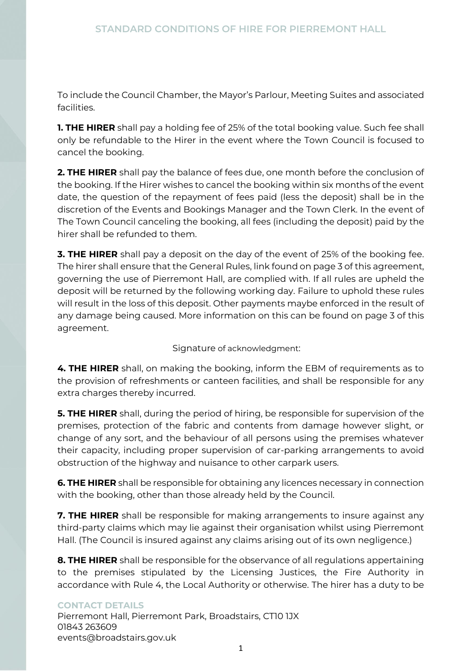To include the Council Chamber, the Mayor's Parlour, Meeting Suites and associated facilities.

**1. THE HIRER** shall pay a holding fee of 25% of the total booking value. Such fee shall only be refundable to the Hirer in the event where the Town Council is focused to cancel the booking.

**2. THE HIRER** shall pay the balance of fees due, one month before the conclusion of the booking. If the Hirer wishes to cancel the booking within six months of the event date, the question of the repayment of fees paid (less the deposit) shall be in the discretion of the Events and Bookings Manager and the Town Clerk. In the event of The Town Council canceling the booking, all fees (including the deposit) paid by the hirer shall be refunded to them.

**3. THE HIRER** shall pay a deposit on the day of the event of 25% of the booking fee. The hirer shall ensure that the General Rules, link found on page 3 of this agreement, governing the use of Pierremont Hall, are complied with. If all rules are upheld the deposit will be returned by the following working day. Failure to uphold these rules will result in the loss of this deposit. Other payments maybe enforced in the result of any damage being caused. More information on this can be found on page 3 of this agreement.

Signature of acknowledgment:

**4. THE HIRER** shall, on making the booking, inform the EBM of requirements as to the provision of refreshments or canteen facilities, and shall be responsible for any extra charges thereby incurred.

**5. THE HIRER** shall, during the period of hiring, be responsible for supervision of the premises, protection of the fabric and contents from damage however slight, or change of any sort, and the behaviour of all persons using the premises whatever their capacity, including proper supervision of car-parking arrangements to avoid obstruction of the highway and nuisance to other carpark users.

**6. THE HIRER** shall be responsible for obtaining any licences necessary in connection with the booking, other than those already held by the Council.

**7. THE HIRER** shall be responsible for making arrangements to insure against any third-party claims which may lie against their organisation whilst using Pierremont Hall. (The Council is insured against any claims arising out of its own negligence.)

**8. THE HIRER** shall be responsible for the observance of all regulations appertaining to the premises stipulated by the Licensing Justices, the Fire Authority in accordance with Rule 4, the Local Authority or otherwise. The hirer has a duty to be

### **CONTACT DETAILS**

Pierremont Hall, Pierremont Park, Broadstairs, CTI0 1JX 01843 263609 events@broadstairs.gov.uk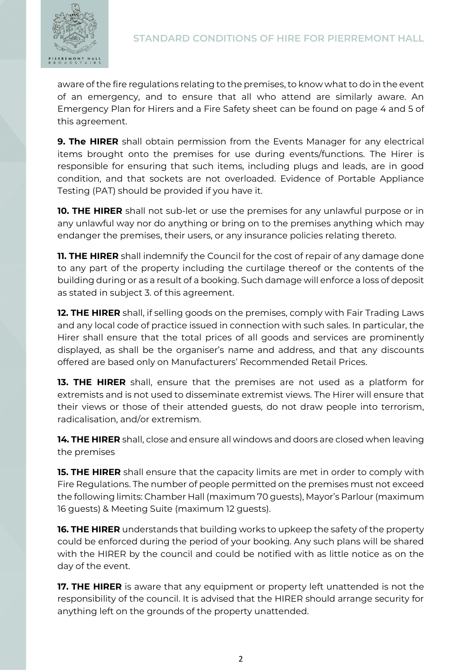

aware of the fire regulations relating to the premises, to know what to do in the event of an emergency, and to ensure that all who attend are similarly aware. An Emergency Plan for Hirers and a Fire Safety sheet can be found on page 4 and 5 of this agreement.

**9. The HIRER** shall obtain permission from the Events Manager for any electrical items brought onto the premises for use during events/functions. The Hirer is responsible for ensuring that such items, including plugs and leads, are in good condition, and that sockets are not overloaded. Evidence of Portable Appliance Testing (PAT) should be provided if you have it.

**10. THE HIRER** shall not sub-let or use the premises for any unlawful purpose or in any unlawful way nor do anything or bring on to the premises anything which may endanger the premises, their users, or any insurance policies relating thereto.

**11. THE HIRER** shall indemnify the Council for the cost of repair of any damage done to any part of the property including the curtilage thereof or the contents of the building during or as a result of a booking. Such damage will enforce a loss of deposit as stated in subject 3. of this agreement.

**12. THE HIRER** shall, if selling goods on the premises, comply with Fair Trading Laws and any local code of practice issued in connection with such sales. In particular, the Hirer shall ensure that the total prices of all goods and services are prominently displayed, as shall be the organiser's name and address, and that any discounts offered are based only on Manufacturers' Recommended Retail Prices.

**13. THE HIRER** shall, ensure that the premises are not used as a platform for extremists and is not used to disseminate extremist views. The Hirer will ensure that their views or those of their attended guests, do not draw people into terrorism, radicalisation, and/or extremism.

**14. THE HIRER** shall, close and ensure all windows and doors are closed when leaving the premises

**15. THE HIRER** shall ensure that the capacity limits are met in order to comply with Fire Regulations. The number of people permitted on the premises must not exceed the following limits: Chamber Hall (maximum 70 guests), Mayor's Parlour (maximum 16 guests) & Meeting Suite (maximum 12 guests).

**16. THE HIRER** understands that building works to upkeep the safety of the property could be enforced during the period of your booking. Any such plans will be shared with the HIRER by the council and could be notified with as little notice as on the day of the event.

**17. THE HIRER** is aware that any equipment or property left unattended is not the responsibility of the council. It is advised that the HIRER should arrange security for anything left on the grounds of the property unattended.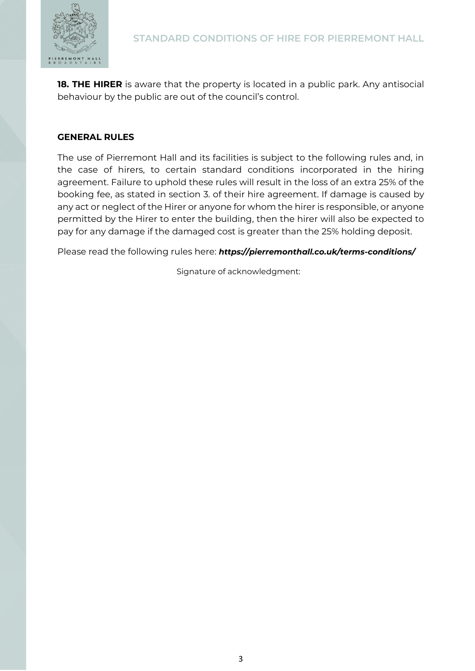

**18. THE HIRER** is aware that the property is located in a public park. Any antisocial behaviour by the public are out of the council's control.

#### **GENERAL RULES**

The use of Pierremont Hall and its facilities is subject to the following rules and, in the case of hirers, to certain standard conditions incorporated in the hiring agreement. Failure to uphold these rules will result in the loss of an extra 25% of the booking fee, as stated in section 3. of their hire agreement. If damage is caused by any act or neglect of the Hirer or anyone for whom the hirer is responsible, or anyone permitted by the Hirer to enter the building, then the hirer will also be expected to pay for any damage if the damaged cost is greater than the 25% holding deposit.

Please read the following rules here: *https://pierremonthall.co.uk/terms-conditions/*

Signature of acknowledgment: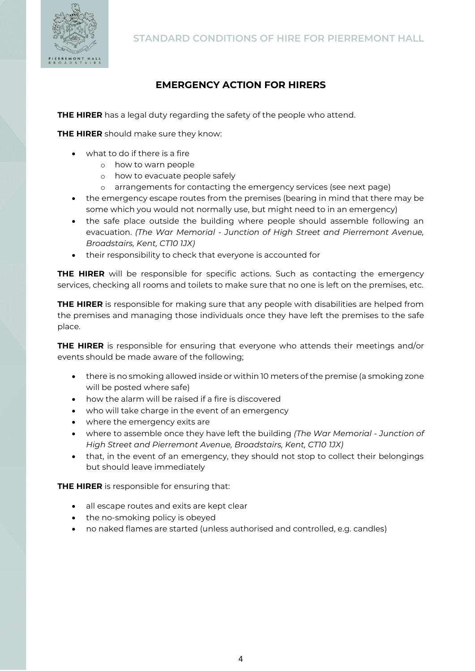

# **EMERGENCY ACTION FOR HIRERS**

**THE HIRER** has a legal duty regarding the safety of the people who attend.

**THE HIRER** should make sure they know:

- what to do if there is a fire
	- o how to warn people
	- o how to evacuate people safely
	- o arrangements for contacting the emergency services (see next page)
- the emergency escape routes from the premises (bearing in mind that there may be some which you would not normally use, but might need to in an emergency)
- the safe place outside the building where people should assemble following an evacuation. *(The War Memorial - Junction of High Street and Pierremont Avenue, Broadstairs, Kent, CT10 1JX)*
- their responsibility to check that everyone is accounted for

**THE HIRER** will be responsible for specific actions. Such as contacting the emergency services, checking all rooms and toilets to make sure that no one is left on the premises, etc.

**THE HIRER** is responsible for making sure that any people with disabilities are helped from the premises and managing those individuals once they have left the premises to the safe place.

**THE HIRER** is responsible for ensuring that everyone who attends their meetings and/or events should be made aware of the following;

- there is no smoking allowed inside or within 10 meters of the premise (a smoking zone will be posted where safe)
- how the alarm will be raised if a fire is discovered
- who will take charge in the event of an emergency
- where the emergency exits are
- where to assemble once they have left the building *(The War Memorial - Junction of High Street and Pierremont Avenue, Broadstairs, Kent, CT10 1JX)*
- that, in the event of an emergency, they should not stop to collect their belongings but should leave immediately

**THE HIRER** is responsible for ensuring that:

- all escape routes and exits are kept clear
- the no-smoking policy is obeyed
- no naked flames are started (unless authorised and controlled, e.g. candles)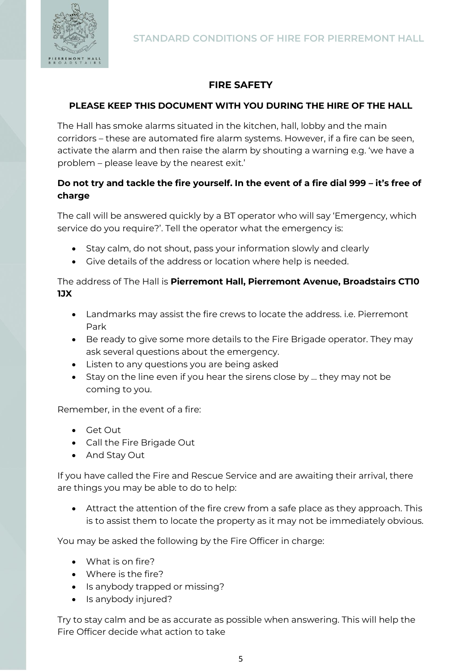



## **FIRE SAFETY**

### **PLEASE KEEP THIS DOCUMENT WITH YOU DURING THE HIRE OF THE HALL**

The Hall has smoke alarms situated in the kitchen, hall, lobby and the main corridors – these are automated fire alarm systems. However, if a fire can be seen, activate the alarm and then raise the alarm by shouting a warning e.g. 'we have a problem – please leave by the nearest exit.'

## **Do not try and tackle the fire yourself. In the event of a fire dial 999 – it's free of charge**

The call will be answered quickly by a BT operator who will say 'Emergency, which service do you require?'. Tell the operator what the emergency is:

- Stay calm, do not shout, pass your information slowly and clearly
- Give details of the address or location where help is needed.

#### The address of The Hall is **Pierremont Hall, Pierremont Avenue, Broadstairs CT10 1JX**

- Landmarks may assist the fire crews to locate the address. i.e. Pierremont Park
- Be ready to give some more details to the Fire Brigade operator. They may ask several questions about the emergency.
- Listen to any questions you are being asked
- Stay on the line even if you hear the sirens close by … they may not be coming to you.

Remember, in the event of a fire:

- Get Out
- Call the Fire Brigade Out
- And Stay Out

If you have called the Fire and Rescue Service and are awaiting their arrival, there are things you may be able to do to help:

• Attract the attention of the fire crew from a safe place as they approach. This is to assist them to locate the property as it may not be immediately obvious.

You may be asked the following by the Fire Officer in charge:

- What is on fire?
- Where is the fire?
- Is anybody trapped or missing?
- Is anybody injured?

Try to stay calm and be as accurate as possible when answering. This will help the Fire Officer decide what action to take